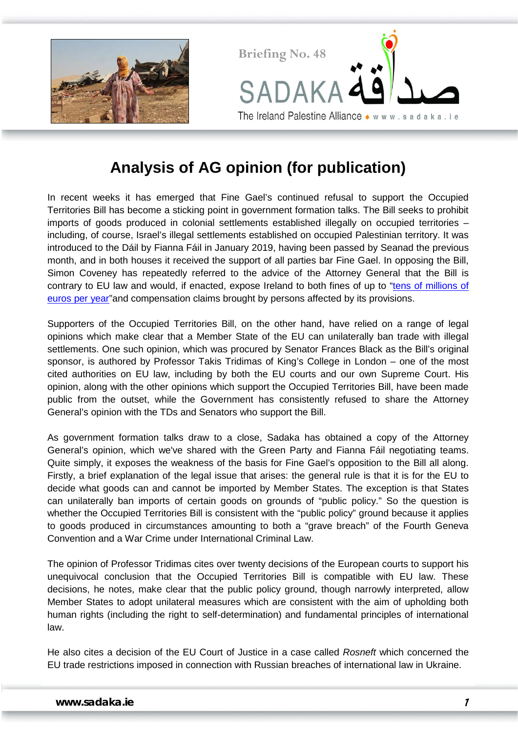



## **Analysis of AG opinion (for publication)**

In recent weeks it has emerged that Fine Gael's continued refusal to support the Occupied Territories Bill has become a sticking point in government formation talks. The Bill seeks to prohibit imports of goods produced in colonial settlements established illegally on occupied territories – including, of course, Israel's illegal settlements established on occupied Palestinian territory. It was introduced to the Dáil by Fianna Fáil in January 2019, having been passed by Seanad the previous month, and in both houses it received the support of all parties bar Fine Gael. In opposing the Bill, Simon Coveney has repeatedly referred to the advice of the Attorney General that the Bill is contrary to EU law and would, if enacted, expose Ireland to both fines of up to ["tens of millions of](https://www.oireachtas.ie/en/debates/debate/dail/2019-01-23/25/)  [euros per year"](https://www.oireachtas.ie/en/debates/debate/dail/2019-01-23/25/)and compensation claims brought by persons affected by its provisions.

Supporters of the Occupied Territories Bill, on the other hand, have relied on a range of legal opinions which make clear that a Member State of the EU can unilaterally ban trade with illegal settlements. One such opinion, which was procured by Senator Frances Black as the Bill's original sponsor, is authored by Professor Takis Tridimas of King's College in London – one of the most cited authorities on EU law, including by both the EU courts and our own Supreme Court. His opinion, along with the other opinions which support the Occupied Territories Bill, have been made public from the outset, while the Government has consistently refused to share the Attorney General's opinion with the TDs and Senators who support the Bill.

As government formation talks draw to a close, Sadaka has obtained a copy of the Attorney General's opinion, which we've shared with the Green Party and Fianna Fáil negotiating teams. Quite simply, it exposes the weakness of the basis for Fine Gael's opposition to the Bill all along. Firstly, a brief explanation of the legal issue that arises: the general rule is that it is for the EU to decide what goods can and cannot be imported by Member States. The exception is that States can unilaterally ban imports of certain goods on grounds of "public policy." So the question is whether the Occupied Territories Bill is consistent with the "public policy" ground because it applies to goods produced in circumstances amounting to both a "grave breach" of the Fourth Geneva Convention and a War Crime under International Criminal Law.

The opinion of Professor Tridimas cites over twenty decisions of the European courts to support his unequivocal conclusion that the Occupied Territories Bill is compatible with EU law. These decisions, he notes, make clear that the public policy ground, though narrowly interpreted, allow Member States to adopt unilateral measures which are consistent with the aim of upholding both human rights (including the right to self-determination) and fundamental principles of international law.

He also cites a decision of the EU Court of Justice in a case called *Rosneft* which concerned the EU trade restrictions imposed in connection with Russian breaches of international law in Ukraine.